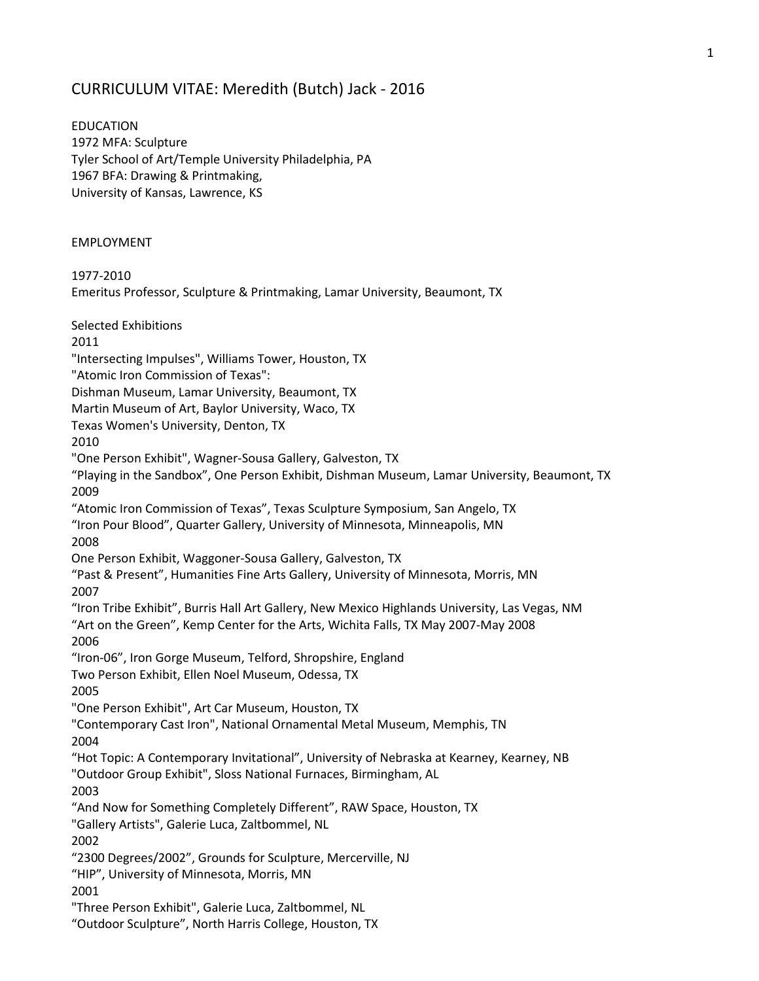## CURRICULUM VITAE: Meredith (Butch) Jack - 2016

EDUCATION 1972 MFA: Sculpture Tyler School of Art/Temple University Philadelphia, PA 1967 BFA: Drawing & Printmaking, University of Kansas, Lawrence, KS

## EMPLOYMENT

1977-2010 Emeritus Professor, Sculpture & Printmaking, Lamar University, Beaumont, TX Selected Exhibitions 2011 "Intersecting Impulses", Williams Tower, Houston, TX "Atomic Iron Commission of Texas": Dishman Museum, Lamar University, Beaumont, TX Martin Museum of Art, Baylor University, Waco, TX Texas Women's University, Denton, TX 2010 "One Person Exhibit", Wagner-Sousa Gallery, Galveston, TX "Playing in the Sandbox", One Person Exhibit, Dishman Museum, Lamar University, Beaumont, TX 2009 "Atomic Iron Commission of Texas", Texas Sculpture Symposium, San Angelo, TX "Iron Pour Blood", Quarter Gallery, University of Minnesota, Minneapolis, MN 2008 One Person Exhibit, Waggoner-Sousa Gallery, Galveston, TX "Past & Present", Humanities Fine Arts Gallery, University of Minnesota, Morris, MN 2007 "Iron Tribe Exhibit", Burris Hall Art Gallery, New Mexico Highlands University, Las Vegas, NM "Art on the Green", Kemp Center for the Arts, Wichita Falls, TX May 2007-May 2008 2006 "Iron-06", Iron Gorge Museum, Telford, Shropshire, England Two Person Exhibit, Ellen Noel Museum, Odessa, TX 2005 "One Person Exhibit", Art Car Museum, Houston, TX "Contemporary Cast Iron", National Ornamental Metal Museum, Memphis, TN 2004 "Hot Topic: A Contemporary Invitational", University of Nebraska at Kearney, Kearney, NB "Outdoor Group Exhibit", Sloss National Furnaces, Birmingham, AL 2003 "And Now for Something Completely Different", RAW Space, Houston, TX "Gallery Artists", Galerie Luca, Zaltbommel, NL 2002 "2300 Degrees/2002", Grounds for Sculpture, Mercerville, NJ "HIP", University of Minnesota, Morris, MN 2001 "Three Person Exhibit", Galerie Luca, Zaltbommel, NL "Outdoor Sculpture", North Harris College, Houston, TX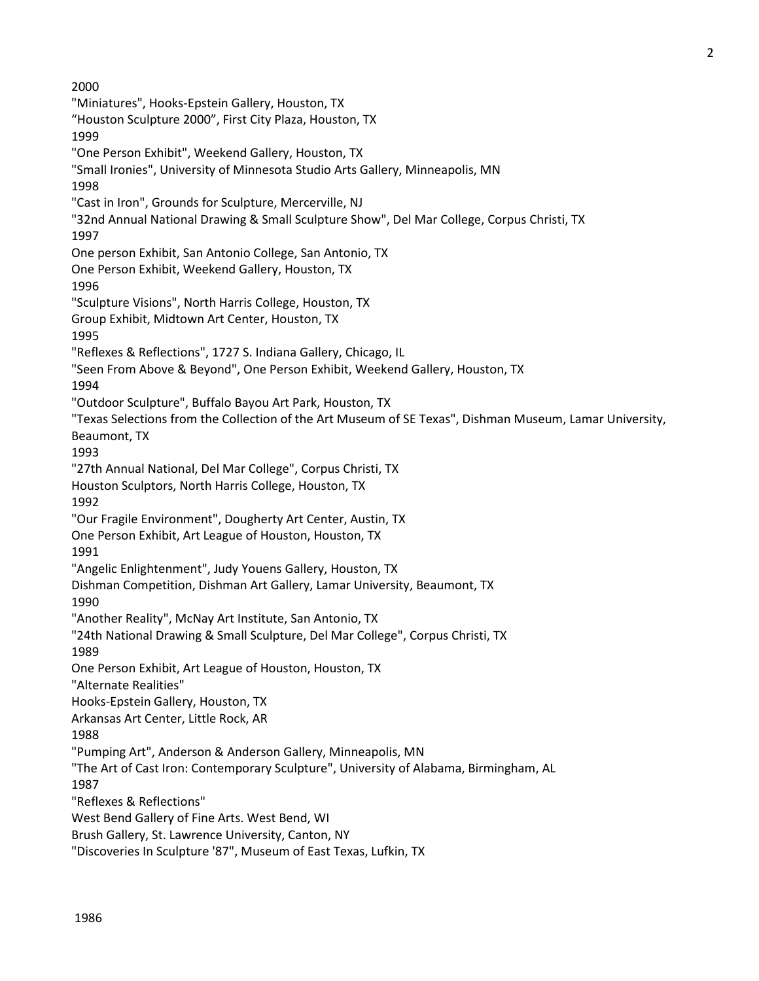2000 "Miniatures", Hooks-Epstein Gallery, Houston, TX "Houston Sculpture 2000", First City Plaza, Houston, TX 1999 "One Person Exhibit", Weekend Gallery, Houston, TX "Small Ironies", University of Minnesota Studio Arts Gallery, Minneapolis, MN 1998 "Cast in Iron", Grounds for Sculpture, Mercerville, NJ "32nd Annual National Drawing & Small Sculpture Show", Del Mar College, Corpus Christi, TX 1997 One person Exhibit, San Antonio College, San Antonio, TX One Person Exhibit, Weekend Gallery, Houston, TX 1996 "Sculpture Visions", North Harris College, Houston, TX Group Exhibit, Midtown Art Center, Houston, TX 1995 "Reflexes & Reflections", 1727 S. Indiana Gallery, Chicago, IL "Seen From Above & Beyond", One Person Exhibit, Weekend Gallery, Houston, TX 1994 "Outdoor Sculpture", Buffalo Bayou Art Park, Houston, TX "Texas Selections from the Collection of the Art Museum of SE Texas", Dishman Museum, Lamar University, Beaumont, TX 1993 "27th Annual National, Del Mar College", Corpus Christi, TX Houston Sculptors, North Harris College, Houston, TX 1992 "Our Fragile Environment", Dougherty Art Center, Austin, TX One Person Exhibit, Art League of Houston, Houston, TX 1991 "Angelic Enlightenment", Judy Youens Gallery, Houston, TX Dishman Competition, Dishman Art Gallery, Lamar University, Beaumont, TX 1990 "Another Reality", McNay Art Institute, San Antonio, TX "24th National Drawing & Small Sculpture, Del Mar College", Corpus Christi, TX 1989 One Person Exhibit, Art League of Houston, Houston, TX "Alternate Realities" Hooks-Epstein Gallery, Houston, TX Arkansas Art Center, Little Rock, AR 1988 "Pumping Art", Anderson & Anderson Gallery, Minneapolis, MN "The Art of Cast Iron: Contemporary Sculpture", University of Alabama, Birmingham, AL 1987 "Reflexes & Reflections" West Bend Gallery of Fine Arts. West Bend, WI Brush Gallery, St. Lawrence University, Canton, NY "Discoveries In Sculpture '87", Museum of East Texas, Lufkin, TX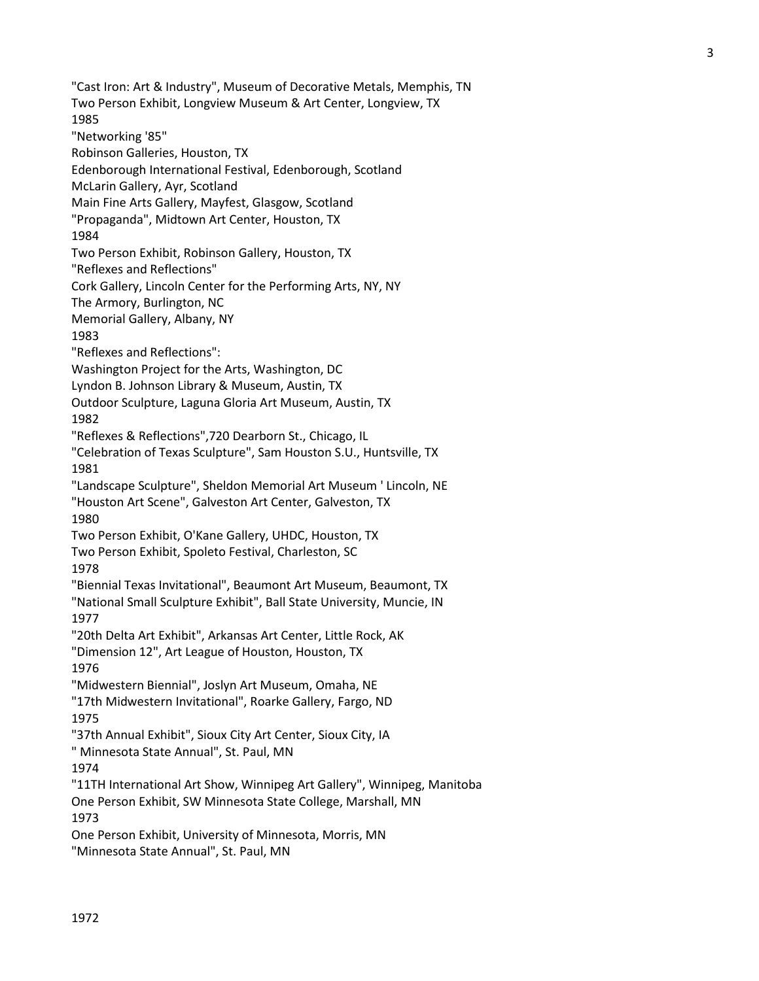3

"Cast Iron: Art & Industry", Museum of Decorative Metals, Memphis, TN Two Person Exhibit, Longview Museum & Art Center, Longview, TX 1985 "Networking '85" Robinson Galleries, Houston, TX Edenborough International Festival, Edenborough, Scotland McLarin Gallery, Ayr, Scotland Main Fine Arts Gallery, Mayfest, Glasgow, Scotland "Propaganda", Midtown Art Center, Houston, TX 1984 Two Person Exhibit, Robinson Gallery, Houston, TX "Reflexes and Reflections" Cork Gallery, Lincoln Center for the Performing Arts, NY, NY The Armory, Burlington, NC Memorial Gallery, Albany, NY 1983 "Reflexes and Reflections": Washington Project for the Arts, Washington, DC Lyndon B. Johnson Library & Museum, Austin, TX Outdoor Sculpture, Laguna Gloria Art Museum, Austin, TX 1982 "Reflexes & Reflections",720 Dearborn St., Chicago, IL "Celebration of Texas Sculpture", Sam Houston S.U., Huntsville, TX 1981 "Landscape Sculpture", Sheldon Memorial Art Museum ' Lincoln, NE "Houston Art Scene", Galveston Art Center, Galveston, TX 1980 Two Person Exhibit, O'Kane Gallery, UHDC, Houston, TX Two Person Exhibit, Spoleto Festival, Charleston, SC 1978 "Biennial Texas Invitational", Beaumont Art Museum, Beaumont, TX "National Small Sculpture Exhibit", Ball State University, Muncie, IN 1977 "20th Delta Art Exhibit", Arkansas Art Center, Little Rock, AK "Dimension 12", Art League of Houston, Houston, TX 1976 "Midwestern Biennial", Joslyn Art Museum, Omaha, NE "17th Midwestern Invitational", Roarke Gallery, Fargo, ND 1975 "37th Annual Exhibit", Sioux City Art Center, Sioux City, IA " Minnesota State Annual", St. Paul, MN 1974 "11TH International Art Show, Winnipeg Art Gallery", Winnipeg, Manitoba One Person Exhibit, SW Minnesota State College, Marshall, MN 1973 One Person Exhibit, University of Minnesota, Morris, MN "Minnesota State Annual", St. Paul, MN